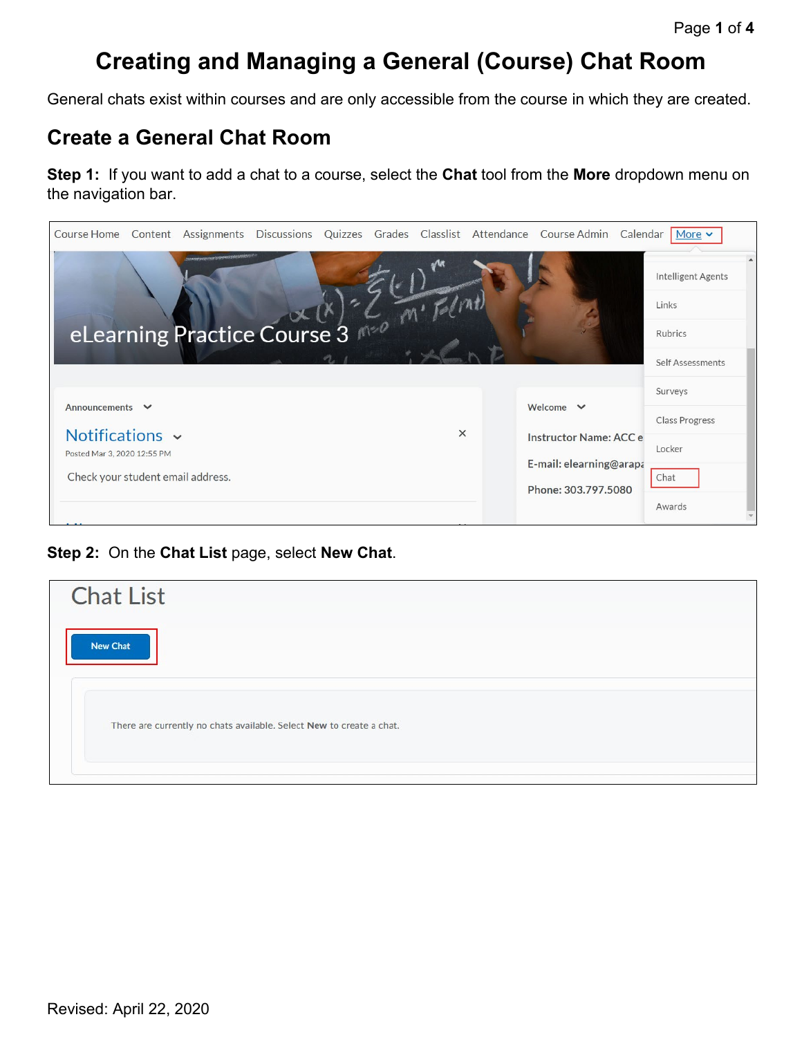## **Creating and Managing a General (Course) Chat Room**

General chats exist within courses and are only accessible from the course in which they are created.

## **Create a General Chat Room**

**Step 1:** If you want to add a chat to a course, select the **Chat** tool from the **More** dropdown menu on the navigation bar.

| Course Home                       |                             |  |          | Content Assignments Discussions Quizzes Grades Classlist Attendance Course Admin | Calendar | $More$ $\sim$         |
|-----------------------------------|-----------------------------|--|----------|----------------------------------------------------------------------------------|----------|-----------------------|
|                                   |                             |  |          |                                                                                  |          | Intelligent Agents    |
|                                   |                             |  |          |                                                                                  |          | Links                 |
|                                   | eLearning Practice Course 3 |  |          |                                                                                  |          | Rubrics               |
|                                   |                             |  |          |                                                                                  |          | Self Assessments      |
|                                   |                             |  |          |                                                                                  |          | Surveys               |
| Announcements V                   |                             |  |          | Welcome $\vee$                                                                   |          | <b>Class Progress</b> |
| Notifications ~                   |                             |  | $\times$ | <b>Instructor Name: ACC e</b>                                                    |          | Locker                |
| Posted Mar 3, 2020 12:55 PM       |                             |  |          | E-mail: elearning@arapa                                                          |          |                       |
| Check your student email address. |                             |  |          |                                                                                  |          | Chat                  |
|                                   |                             |  |          | Phone: 303.797.5080                                                              |          | Awards                |

**Step 2:** On the **Chat List** page, select **New Chat**.

| <b>Chat List</b>                                                     |
|----------------------------------------------------------------------|
| New Chat                                                             |
|                                                                      |
| There are currently no chats available. Select New to create a chat. |
|                                                                      |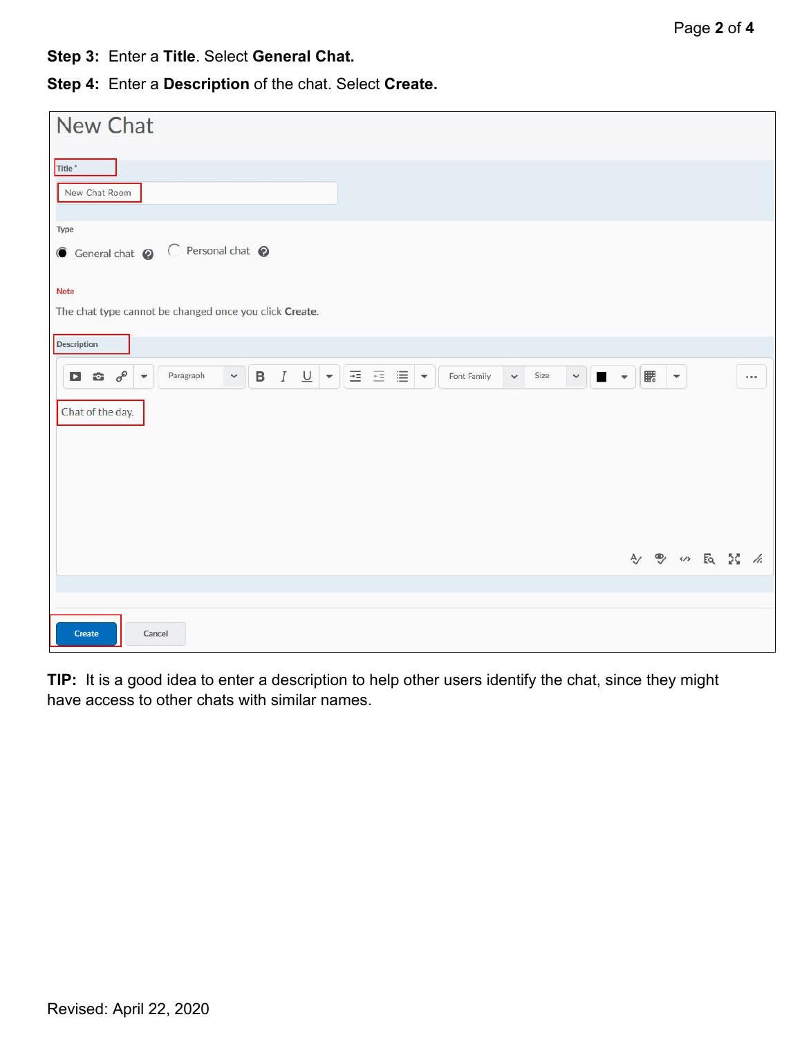**Step 3:** Enter a **Title**. Select **General Chat.**

**Step 4:** Enter a **Description** of the chat. Select **Create.**

| New Chat                                                                                                                                                                                       |                                                 |  |
|------------------------------------------------------------------------------------------------------------------------------------------------------------------------------------------------|-------------------------------------------------|--|
| Title <sup>*</sup>                                                                                                                                                                             |                                                 |  |
| New Chat Room                                                                                                                                                                                  |                                                 |  |
| Type<br>G General chat @ C Personal chat @                                                                                                                                                     |                                                 |  |
| <b>Note</b>                                                                                                                                                                                    |                                                 |  |
| The chat type cannot be changed once you click Create.                                                                                                                                         |                                                 |  |
| Description                                                                                                                                                                                    |                                                 |  |
| 三三目*<br>$B$ $I$ $\underline{U}$ $\bullet$<br>$\Box$ $\hat{\omega}$ $o^{\circ}$<br>$\checkmark$<br>$\times$ $\blacksquare$<br>Paragraph<br>Font Family<br>Size<br>$\checkmark$<br>$\rightarrow$ | 騦<br>$\blacksquare$<br>$\bullet$                |  |
| Chat of the day.                                                                                                                                                                               |                                                 |  |
|                                                                                                                                                                                                |                                                 |  |
|                                                                                                                                                                                                |                                                 |  |
|                                                                                                                                                                                                |                                                 |  |
|                                                                                                                                                                                                |                                                 |  |
|                                                                                                                                                                                                | <sup>9</sup> の長器を<br>$\mathsf{A}_{\mathcal{J}}$ |  |
|                                                                                                                                                                                                |                                                 |  |
| Create<br>Cancel                                                                                                                                                                               |                                                 |  |

**TIP:** It is a good idea to enter a description to help other users identify the chat, since they might have access to other chats with similar names.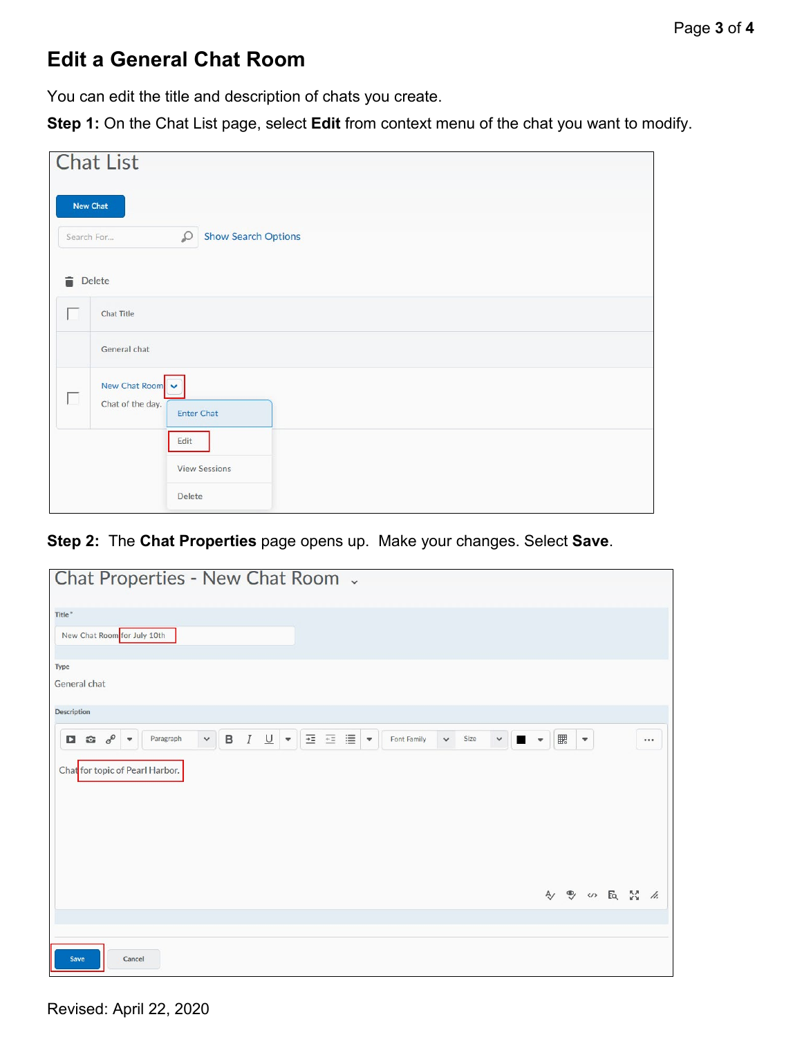## **Edit a General Chat Room**

You can edit the title and description of chats you create.

**Step 1:** On the Chat List page, select **Edit** from context menu of the chat you want to modify.

|                 | <b>Chat List</b>                                       |
|-----------------|--------------------------------------------------------|
| <b>New Chat</b> | <b>Show Search Options</b>                             |
| Search For<br>言 | $\varphi$<br>Delete                                    |
|                 | <b>Chat Title</b>                                      |
|                 | General chat                                           |
| П               | New Chat Room<br>Chat of the day.<br><b>Enter Chat</b> |
|                 | Edit                                                   |
|                 | <b>View Sessions</b><br>Delete                         |

**Step 2:** The **Chat Properties** page opens up. Make your changes. Select **Save**.

| Chat Properties - New Chat Room .     |              |  |                                                                        |             |              |      |                                                                 |     |             |  |  |
|---------------------------------------|--------------|--|------------------------------------------------------------------------|-------------|--------------|------|-----------------------------------------------------------------|-----|-------------|--|--|
| Title*<br>New Chat Room for July 10th |              |  |                                                                        |             |              |      |                                                                 |     |             |  |  |
| Type<br>General chat                  |              |  |                                                                        |             |              |      |                                                                 |     |             |  |  |
| <b>Description</b>                    |              |  |                                                                        |             |              |      |                                                                 |     |             |  |  |
| $\sigma^{\circ}$ -<br>Paragraph<br>口台 | $\checkmark$ |  | <b>B</b> $I \cup  \mathbf{v} $ $\equiv$ $\equiv$ $\equiv  \mathbf{v} $ | Font Family | $\checkmark$ | Size | $\begin{array}{c c} \hline \textbf{v} & \textbf{w} \end{array}$ | ■ ▼ |             |  |  |
| Chat for topic of Pearl Harbor.       |              |  |                                                                        |             |              |      |                                                                 |     |             |  |  |
|                                       |              |  |                                                                        |             |              |      |                                                                 |     | 4 % 5 5 % % |  |  |
| Cancel<br>Save                        |              |  |                                                                        |             |              |      |                                                                 |     |             |  |  |

Revised: April 22, 2020